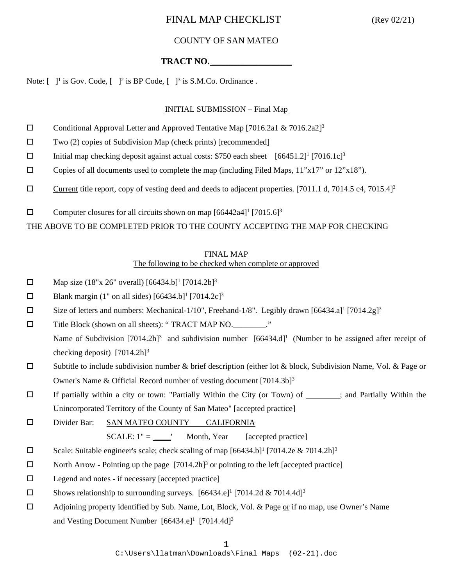### COUNTY OF SAN MATEO

## **TRACT NO.** \_\_\_\_\_\_\_\_\_\_\_\_\_\_\_\_\_\_

Note:  $\begin{bmatrix} 1 \end{bmatrix}$  is Gov. Code,  $\begin{bmatrix} 1 \end{bmatrix}$  is BP Code,  $\begin{bmatrix} 1 \end{bmatrix}$  is S.M.Co. Ordinance.

#### INITIAL SUBMISSION – Final Map

- Conditional Approval Letter and Approved Tentative Map [7016.2a1 & 7016.2a2]<sup>3</sup>
- $\square$  Two (2) copies of Subdivision Map (check prints) [recommended]
- Initial map checking deposit against actual costs: \$750 each sheet  $[66451.2]^{1}$  [7016.1c]<sup>3</sup>
- $\Box$  Copies of all documents used to complete the map (including Filed Maps, 11"x17" or 12"x18").
- Current title report, copy of vesting deed and deeds to adjacent properties. [7011.1 d, 7014.5 c4, 7015.4]<sup>3</sup>
- $\square$  Computer closures for all circuits shown on map  $[66442a4]^1$   $[7015.6]^3$

THE ABOVE TO BE COMPLETED PRIOR TO THE COUNTY ACCEPTING THE MAP FOR CHECKING

#### FINAL MAP

#### The following to be checked when complete or approved

- $\Box$  Map size (18"x 26" overall) [66434.b]<sup>1</sup> [7014.2b]<sup>3</sup>
- $\Box$  Blank margin (1" on all sides) [66434.b]<sup>1</sup> [7014.2c]<sup>3</sup>
- $\square$  Size of letters and numbers: Mechanical-1/10", Freehand-1/8". Legibly drawn [66434.a]<sup>1</sup> [7014.2g]<sup>3</sup>
- □ Title Block (shown on all sheets): "TRACT MAP NO.\_\_\_\_\_\_\_\_\_." Name of Subdivision  $[7014.2h]^3$  and subdivision number  $[66434.d]^1$  (Number to be assigned after receipt of checking deposit)  $[7014.2h]$ <sup>3</sup>
- $\square$  Subtitle to include subdivision number & brief description (either lot & block, Subdivision Name, Vol. & Page or Owner's Name & Official Record number of vesting document [7014.3b]3
- $\Box$  If partially within a city or town: "Partially Within the City (or Town) of  $\Box$ ; and Partially Within the Unincorporated Territory of the County of San Mateo" [accepted practice]
- Divider Bar: SAN MATEO COUNTY CALIFORNIA

 $SCALE: 1" =$  Month, Year [accepted practice]

- Scale: Suitable engineer's scale; check scaling of map  $[66434.b]^1$  [7014.2e & 7014.2h]<sup>3</sup>
- North Arrow Pointing up the page  $[7014.2h]^3$  or pointing to the left [accepted practice]
- $\Box$  Legend and notes if necessary [accepted practice]
- $\square$  Shows relationship to surrounding surveys. [66434.e]<sup>1</sup> [7014.2d & 7014.4d]<sup>3</sup>
- Adjoining property identified by Sub. Name, Lot, Block, Vol. & Page or if no map, use Owner's Name and Vesting Document Number  $[66434 \cdot e]^1$   $[7014 \cdot 4d]^3$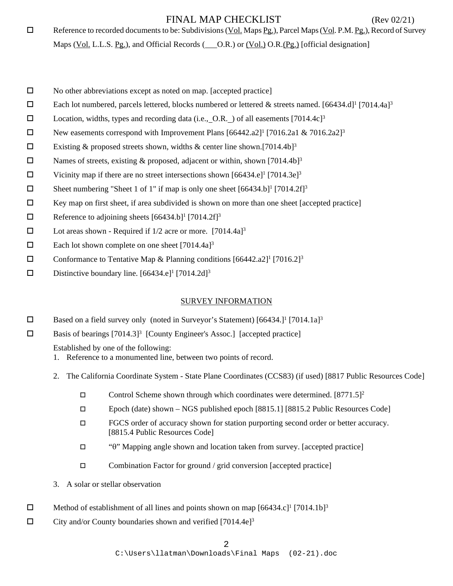$\Box$  Reference to recorded documents to be: Subdivisions (Vol. Maps Pg.), Parcel Maps (Vol. P.M. Pg.), Record of Survey

Maps (Vol. L.L.S. Pg.), and Official Records ( O.R.) or (Vol.) O.R.(Pg.) [official designation]

- $\square$  No other abbreviations except as noted on map. [accepted practice]
- Each lot numbered, parcels lettered, blocks numbered or lettered & streets named.  $[66434. d]$ <sup>1</sup> [7014.4a]<sup>3</sup>
- D Location, widths, types and recording data (i.e., O.R. ) of all easements  $[7014.4c]$ <sup>3</sup>
- New easements correspond with Improvement Plans  $[66442.a2]$ <sup>1</sup> [7016.2a1 & 7016.2a2]<sup>3</sup>
- Existing & proposed streets shown, widths & center line shown.[7014.4b]<sup>3</sup>
- $\square$  Names of streets, existing & proposed, adjacent or within, shown [7014.4b]<sup>3</sup>
- $\square$  Vicinity map if there are no street intersections shown [66434.e]<sup>1</sup> [7014.3e]<sup>3</sup>
- $\square$  Sheet numbering "Sheet 1 of 1" if map is only one sheet  $[66434.b]$ <sup>1</sup> [7014.2f]<sup>3</sup>
- $\Box$  Key map on first sheet, if area subdivided is shown on more than one sheet [accepted practice]
- $\Box$  Reference to adjoining sheets [66434.b]<sup>1</sup> [7014.2f]<sup>3</sup>
- $\square$  Lot areas shown Required if  $1/2$  acre or more. [7014.4a]<sup>3</sup>
- $\Box$  Each lot shown complete on one sheet [7014.4a]<sup>3</sup>
- **Conformance to Tentative Map & Planning conditions**  $[66442.a2]$ **<sup>1</sup>**  $[7016.2]$ **<sup>3</sup>**
- Distinctive boundary line.  $[66434 \cdot e]^1$   $[7014 \cdot 2d]^3$

## SURVEY INFORMATION

- $\Box$  Based on a field survey only (noted in Surveyor's Statement) [66434.]<sup>1</sup> [7014.1a]<sup>3</sup>
- $\square$  Basis of bearings [7014.3]<sup>3</sup> [County Engineer's Assoc.] [accepted practice]

Established by one of the following:

- 1. Reference to a monumented line, between two points of record.
- 2. The California Coordinate System State Plane Coordinates (CCS83) (if used) [8817 Public Resources Code]
	- Control Scheme shown through which coordinates were determined.  $[8771.5]^2$
	- Epoch (date) shown NGS published epoch [8815.1] [8815.2 Public Resources Code]
	- FGCS order of accuracy shown for station purporting second order or better accuracy. [8815.4 Public Resources Code]
	- "θ" Mapping angle shown and location taken from survey. [accepted practice]
	- $\square$  Combination Factor for ground / grid conversion [accepted practice]
- 3. A solar or stellar observation
- $\Box$  Method of establishment of all lines and points shown on map  $[66434.c]^1$   $[7014.1b]^3$
- $\Box$  City and/or County boundaries shown and verified [7014.4e]<sup>3</sup>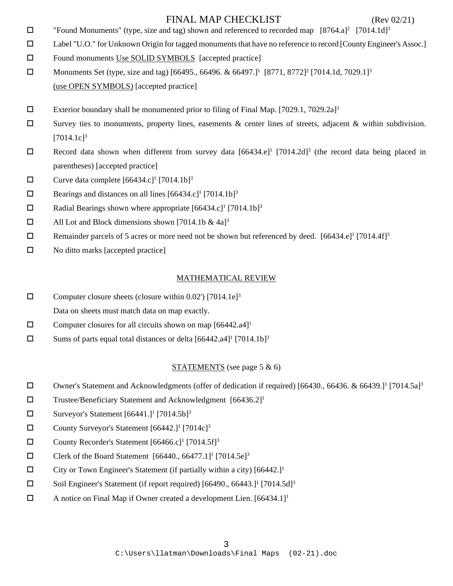- $\Box$  "Found Monuments" (type, size and tag) shown and referenced to recorded map [8764.a]<sup>2</sup> [7014.1d]<sup>3</sup>
- Label "U.O." for Unknown Origin for tagged monuments that have no reference to record [County Engineer's Assoc.]
- $\square$  Found monuments Use SOLID SYMBOLS [accepted practice]
- □ Monuments Set (type, size and tag) [66495., 66496. & 66497.]<sup>1</sup> [8771, 8772]<sup>2</sup> [7014.1d, 7029.1]<sup>3</sup> (use OPEN SYMBOLS) [accepted practice]
- Exterior boundary shall be monumented prior to filing of Final Map.  $[7029.1, 7029.2a]$ <sup>3</sup>
- $\square$  Survey ties to monuments, property lines, easements & center lines of streets, adjacent & within subdivision.  $[7014.1c]$ <sup>3</sup>
- Record data shown when different from survey data  $[66434 \cdot e]^1$   $[7014 \cdot 2d]^3$  (the record data being placed in parentheses) [accepted practice]
- $\Box$  Curve data complete [66434.c]<sup>1</sup> [7014.1b]<sup>3</sup>
- $\Box$  Bearings and distances on all lines [66434.c]<sup>1</sup> [7014.1b]<sup>3</sup>
- $\Box$  Radial Bearings shown where appropriate [66434.c]<sup>1</sup> [7014.1b]<sup>3</sup>
- $\Box$  All Lot and Block dimensions shown [7014.1b & 4a]<sup>3</sup>
- **Exercise 1** Remainder parcels of 5 acres or more need not be shown but referenced by deed. [66434.e]<sup>1</sup> [7014.4f]<sup>3</sup>
- $\square$  No ditto marks [accepted practice]

## MATHEMATICAL REVIEW

- $\square$  Computer closure sheets (closure within 0.02') [7014.1e]<sup>3</sup>
- Data on sheets must match data on map exactly.
- $\square$  Computer closures for all circuits shown on map [66442.a4]<sup>1</sup>
- $\square$  Sums of parts equal total distances or delta [66442.a4]<sup>1</sup> [7014.1b]<sup>3</sup>

## STATEMENTS (see page 5 & 6)

- □ Owner's Statement and Acknowledgments (offer of dedication if required) [66430., 66436. & 66439.]<sup>1</sup> [7014.5a]<sup>3</sup>
- $\square$  Trustee/Beneficiary Statement and Acknowledgment [66436.2]<sup>1</sup>
- $\square$  Surveyor's Statement [66441.]<sup>1</sup> [7014.5b]<sup>3</sup>
- County Surveyor's Statement  $[66442.]$ <sup>1</sup>  $[7014c]$ <sup>3</sup>
- County Recorder's Statement  $[66466 \text{c}]$ <sup>1</sup>  $[7014.5 \text{f}]$ <sup>3</sup>
- $\square$  Clerk of the Board Statement [66440., 66477.1]<sup>1</sup> [7014.5e]<sup>3</sup>
- $\Box$  City or Town Engineer's Statement (if partially within a city) [66442.]<sup>1</sup>
- $\square$  Soil Engineer's Statement (if report required) [66490., 66443.]<sup>1</sup> [7014.5d]<sup>3</sup>
- $\Box$  A notice on Final Map if Owner created a development Lien. [66434.1]<sup>1</sup>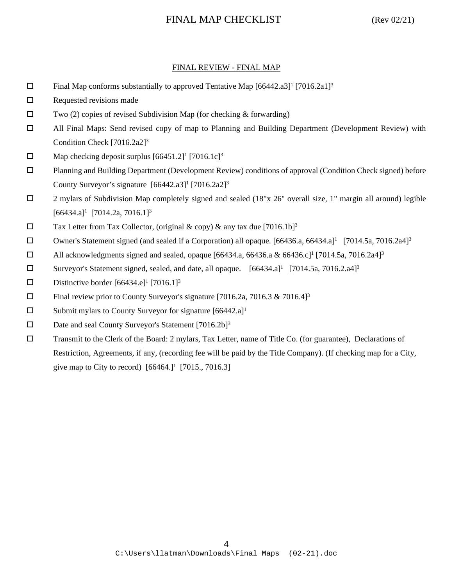### FINAL REVIEW - FINAL MAP

- $\Box$  Final Map conforms substantially to approved Tentative Map [66442.a3]<sup>1</sup> [7016.2a1]<sup>3</sup>
- $\square$  Requested revisions made
- $\square$  Two (2) copies of revised Subdivision Map (for checking & forwarding)
- All Final Maps: Send revised copy of map to Planning and Building Department (Development Review) with Condition Check [7016.2a2]3
- $\Box$  Map checking deposit surplus [66451.2]<sup>1</sup> [7016.1c]<sup>3</sup>
- Planning and Building Department (Development Review) conditions of approval (Condition Check signed) before County Surveyor's signature  $[66442.a3]$ <sup>1</sup>  $[7016.2a2]$ <sup>3</sup>
- 2 mylars of Subdivision Map completely signed and sealed (18"x 26" overall size, 1" margin all around) legible  $[66434.a]$ <sup>1</sup>  $[7014.2a, 7016.1]$ <sup>3</sup>
- $\square$  Tax Letter from Tax Collector, (original & copy) & any tax due [7016.1b]<sup>3</sup>
- Owner's Statement signed (and sealed if a Corporation) all opaque.  $[66436.a, 66434.a]^1$   $[7014.5a, 7016.2a4]^3$
- $\Box$  All acknowledgments signed and sealed, opaque [66434.a, 66436.a & 66436.c]<sup>1</sup> [7014.5a, 7016.2a4]<sup>3</sup>
- $\square$  Surveyor's Statement signed, sealed, and date, all opaque. [66434.a]<sup>1</sup> [7014.5a, 7016.2.a4]<sup>3</sup>
- Distinctive border  $[66434 \cdot e]^1$   $[7016.1]^3$
- $\Box$  Final review prior to County Surveyor's signature [7016.2a, 7016.3 & 7016.4]<sup>3</sup>
- $\square$  Submit mylars to County Surveyor for signature [66442.a]<sup>1</sup>
- $\square$  Date and seal County Surveyor's Statement [7016.2b]<sup>3</sup>
- Transmit to the Clerk of the Board: 2 mylars, Tax Letter, name of Title Co. (for guarantee), Declarations of Restriction, Agreements, if any, (recording fee will be paid by the Title Company). (If checking map for a City, give map to City to record)  $[66464.]$ <sup>1</sup> [7015., 7016.3]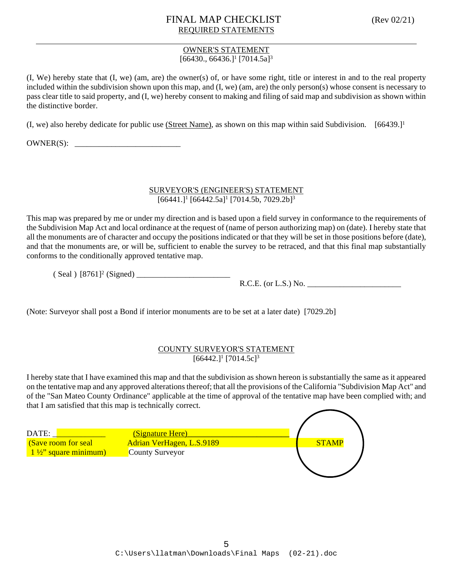## FINAL MAP CHECKLIST (Rev 02/21) REQUIRED STATEMENTS

#### OWNER'S STATEMENT  $[66430., 66436.]$ <sup>1</sup> $[7014.5a]$ <sup>3</sup>

(I, We) hereby state that (I, we) (am, are) the owner(s) of, or have some right, title or interest in and to the real property included within the subdivision shown upon this map, and (I, we) (am, are) the only person(s) whose consent is necessary to pass clear title to said property, and (I, we) hereby consent to making and filing of said map and subdivision as shown within the distinctive border.

(I, we) also hereby dedicate for public use (Street Name), as shown on this map within said Subdivision. [66439.]1

 $OWNER(S):$ 

### SURVEYOR'S (ENGINEER'S) STATEMENT  $[66441.]$ <sup>1</sup>  $[66442.5a]$ <sup>1</sup>  $[7014.5b, 7029.2b]$ <sup>3</sup>

This map was prepared by me or under my direction and is based upon a field survey in conformance to the requirements of the Subdivision Map Act and local ordinance at the request of (name of person authorizing map) on (date). I hereby state that all the monuments are of character and occupy the positions indicated or that they will be set in those positions before (date), and that the monuments are, or will be, sufficient to enable the survey to be retraced, and that this final map substantially conforms to the conditionally approved tentative map.

 $(Seal) [8761]^2 (Signed)$ 

R.C.E. (or L.S.) No. \_\_\_\_\_\_\_\_\_\_\_\_\_\_\_\_\_\_\_\_\_\_\_

(Note: Surveyor shall post a Bond if interior monuments are to be set at a later date) [7029.2b]

### COUNTY SURVEYOR'S STATEMENT  $[66442.]$ <sup>1</sup>  $[7014.5c]$ <sup>3</sup>

I hereby state that I have examined this map and that the subdivision as shown hereon is substantially the same as it appeared on the tentative map and any approved alterations thereof; that all the provisions of the California "Subdivision Map Act" and of the "San Mateo County Ordinance" applicable at the time of approval of the tentative map have been complied with; and that I am satisfied that this map is technically correct.

| DATE:                          | <b>(Signature Here)</b>   |              |
|--------------------------------|---------------------------|--------------|
| (Save room for seal            | Adrian VerHagen, L.S.9189 | <b>STAMP</b> |
| $1\frac{1}{2}$ square minimum) | County Surveyor           |              |
|                                |                           |              |